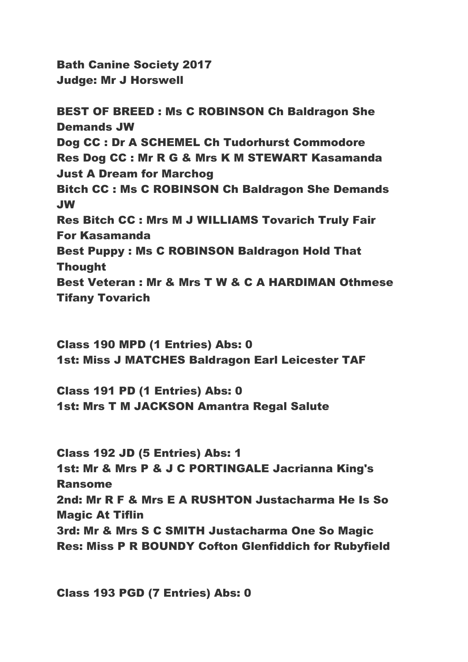Bath Canine Society 2017 Judge: Mr J Horswell

BEST OF BREED : Ms C ROBINSON Ch Baldragon She Demands JW Dog CC : Dr A SCHEMEL Ch Tudorhurst Commodore Res Dog CC : Mr R G & Mrs K M STEWART Kasamanda Just A Dream for Marchog Bitch CC : Ms C ROBINSON Ch Baldragon She Demands JW Res Bitch CC : Mrs M J WILLIAMS Tovarich Truly Fair For Kasamanda Best Puppy : Ms C ROBINSON Baldragon Hold That Thought Best Veteran : Mr & Mrs T W & C A HARDIMAN Othmese Tifany Tovarich

Class 190 MPD (1 Entries) Abs: 0 1st: Miss J MATCHES Baldragon Earl Leicester TAF

Class 191 PD (1 Entries) Abs: 0 1st: Mrs T M JACKSON Amantra Regal Salute

Class 192 JD (5 Entries) Abs: 1 1st: Mr & Mrs P & J C PORTINGALE Jacrianna King's Ransome 2nd: Mr R F & Mrs E A RUSHTON Justacharma He Is So Magic At Tiflin 3rd: Mr & Mrs S C SMITH Justacharma One So Magic Res: Miss P R BOUNDY Cofton Glenfiddich for Rubyfield

Class 193 PGD (7 Entries) Abs: 0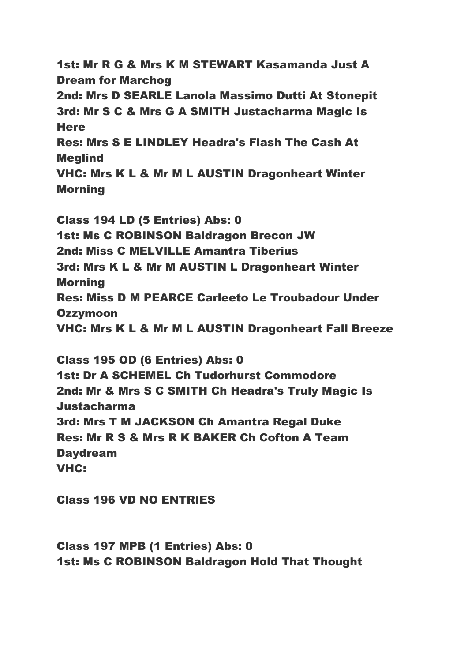1st: Mr R G & Mrs K M STEWART Kasamanda Just A Dream for Marchog 2nd: Mrs D SEARLE Lanola Massimo Dutti At Stonepit 3rd: Mr S C & Mrs G A SMITH Justacharma Magic Is **Here** Res: Mrs S E LINDLEY Headra's Flash The Cash At Meglind VHC: Mrs K L & Mr M L AUSTIN Dragonheart Winter Morning

Class 194 LD (5 Entries) Abs: 0 1st: Ms C ROBINSON Baldragon Brecon JW 2nd: Miss C MELVILLE Amantra Tiberius 3rd: Mrs K L & Mr M AUSTIN L Dragonheart Winter Morning Res: Miss D M PEARCE Carleeto Le Troubadour Under **Ozzymoon** VHC: Mrs K L & Mr M L AUSTIN Dragonheart Fall Breeze

Class 195 OD (6 Entries) Abs: 0 1st: Dr A SCHEMEL Ch Tudorhurst Commodore 2nd: Mr & Mrs S C SMITH Ch Headra's Truly Magic Is Justacharma 3rd: Mrs T M JACKSON Ch Amantra Regal Duke Res: Mr R S & Mrs R K BAKER Ch Cofton A Team Daydream VHC:

Class 196 VD NO ENTRIES

Class 197 MPB (1 Entries) Abs: 0 1st: Ms C ROBINSON Baldragon Hold That Thought